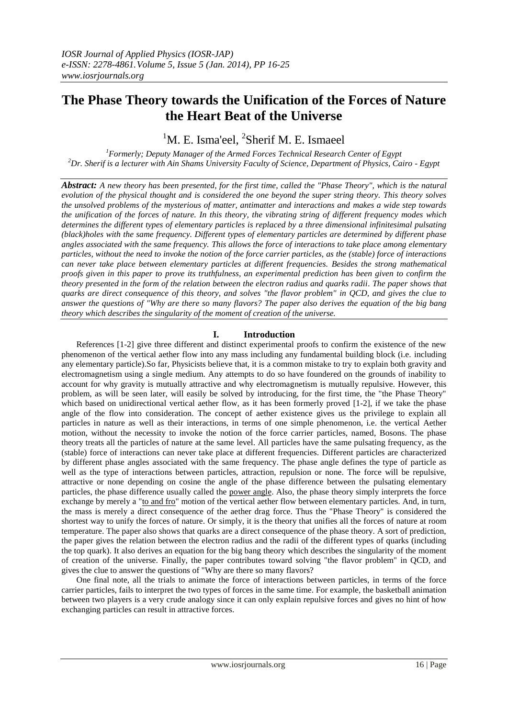# **The Phase Theory towards the Unification of the Forces of Nature the Heart Beat of the Universe**

 ${}^{1}$ M. E. Isma'eel,  ${}^{2}$ Sherif M. E. Ismaeel

*<sup>1</sup>Formerly; Deputy Manager of the Armed Forces Technical Research Center of Egypt <sup>2</sup>Dr. Sherif is a lecturer with Ain Shams University Faculty of Science, Department of Physics, Cairo - Egypt*

*Abstract: A new theory has been presented, for the first time, called the "Phase Theory", which is the natural evolution of the physical thought and is considered the one beyond the super string theory. This theory solves the unsolved problems of the mysterious of matter, antimatter and interactions and makes a wide step towards the unification of the forces of nature. In this theory, the vibrating string of different frequency modes which determines the different types of elementary particles is replaced by a three dimensional infinitesimal pulsating (black)holes with the same frequency. Different types of elementary particles are determined by different phase angles associated with the same frequency. This allows the force of interactions to take place among elementary particles, without the need to invoke the notion of the force carrier particles, as the (stable) force of interactions can never take place between elementary particles at different frequencies. Besides the strong mathematical proofs given in this paper to prove its truthfulness, an experimental prediction has been given to confirm the theory presented in the form of the relation between the electron radius and quarks radii. The paper shows that quarks are direct consequence of this theory, and solves "the flavor problem" in QCD, and gives the clue to answer the questions of "Why are there so many flavors? The paper also derives the equation of the big bang theory which describes the singularity of the moment of creation of the universe.*

# **I. Introduction**

 References [1-2] give three different and distinct experimental proofs to confirm the existence of the new phenomenon of the vertical aether flow into any mass including any fundamental building block (i.e. including any elementary particle).So far, Physicists believe that, it is a common mistake to try to explain both gravity and electromagnetism using a single medium. Any attempts to do so have foundered on the grounds of inability to account for why gravity is mutually attractive and why electromagnetism is mutually repulsive. However, this problem, as will be seen later, will easily be solved by introducing, for the first time, the "the Phase Theory" which based on unidirectional vertical aether flow, as it has been formerly proved [1-2], if we take the phase angle of the flow into consideration. The concept of aether existence gives us the privilege to explain all particles in nature as well as their interactions, in terms of one simple phenomenon, i.e. the vertical Aether motion, without the necessity to invoke the notion of the force carrier particles, named, Bosons. The phase theory treats all the particles of nature at the same level. All particles have the same pulsating frequency, as the (stable) force of interactions can never take place at different frequencies. Different particles are characterized by different phase angles associated with the same frequency. The phase angle defines the type of particle as well as the type of interactions between particles, attraction, repulsion or none. The force will be repulsive, attractive or none depending on cosine the angle of the phase difference between the pulsating elementary particles, the phase difference usually called the power angle. Also, the phase theory simply interprets the force exchange by merely a "to and fro" motion of the vertical aether flow between elementary particles. And, in turn, the mass is merely a direct consequence of the aether drag force. Thus the "Phase Theory" is considered the shortest way to unify the forces of nature. Or simply, it is the theory that unifies all the forces of nature at room temperature. The paper also shows that quarks are a direct consequence of the phase theory. A sort of prediction, the paper gives the relation between the electron radius and the radii of the different types of quarks (including the top quark). It also derives an equation for the big bang theory which describes the singularity of the moment of creation of the universe. Finally, the paper contributes toward solving "the flavor problem" in QCD, and gives the clue to answer the questions of "Why are there so many flavors?

 One final note, all the trials to animate the force of interactions between particles, in terms of the force carrier particles, fails to interpret the two types of forces in the same time. For example, the basketball animation between two players is a very crude analogy since it can only explain repulsive forces and gives no hint of how exchanging particles can result in attractive forces.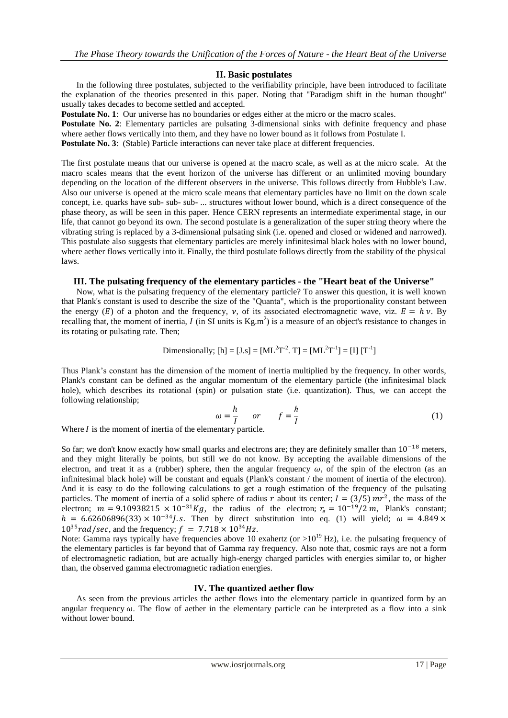## **II. Basic postulates**

 In the following three postulates, subjected to the verifiability principle, have been introduced to facilitate the explanation of the theories presented in this paper. Noting that "Paradigm shift in the human thought" usually takes decades to become settled and accepted.

**Postulate No. 1:** Our universe has no boundaries or edges either at the micro or the macro scales.

**Postulate No. 2**: Elementary particles are pulsating 3-dimensional sinks with definite frequency and phase where aether flows vertically into them, and they have no lower bound as it follows from Postulate I.

**Postulate No. 3:** (Stable) Particle interactions can never take place at different frequencies.

The first postulate means that our universe is opened at the macro scale, as well as at the micro scale. At the macro scales means that the event horizon of the universe has different or an unlimited moving boundary depending on the location of the different observers in the universe. This follows directly from Hubble's Law. Also our universe is opened at the micro scale means that elementary particles have no limit on the down scale concept, i.e. quarks have sub- sub- sub- ... structures without lower bound, which is a direct consequence of the phase theory, as will be seen in this paper. Hence CERN represents an intermediate experimental stage, in our life, that cannot go beyond its own. The second postulate is a generalization of the super string theory where the vibrating string is replaced by a 3-dimensional pulsating sink (i.e. opened and closed or widened and narrowed). This postulate also suggests that elementary particles are merely infinitesimal black holes with no lower bound, where aether flows vertically into it. Finally, the third postulate follows directly from the stability of the physical laws.

## **III. The pulsating frequency of the elementary particles - the "Heart beat of the Universe"**

 Now, what is the pulsating frequency of the elementary particle? To answer this question, it is well known that Plank's constant is used to describe the size of the "Quanta", which is the proportionality constant between the energy (E) of a photon and the frequency,  $v$ , of its associated electromagnetic wave, viz.  $E = h v$ . By recalling that, the moment of inertia, I (in SI units is  $Kg.m^2$ ) is a measure of an object's resistance to changes in its rotating or pulsating rate. Then;

Dimensionally; [h] = [J.s] = 
$$
[ML^2T^{-2}, T]
$$
 =  $[ML^2T^{-1}] = [I] [T^{-1}]$ 

Thus Plank's constant has the dimension of the moment of inertia multiplied by the frequency. In other words, Plank's constant can be defined as the angular momentum of the elementary particle (the infinitesimal black hole), which describes its rotational (spin) or pulsation state (i.e. quantization). Thus, we can accept the following relationship;

$$
\omega = \frac{h}{I} \quad or \quad f = \frac{h}{I} \tag{1}
$$

Where  $I$  is the moment of inertia of the elementary particle.

So far; we don't know exactly how small quarks and electrons are; they are definitely smaller than  $10^{-18}$  meters, and they might literally be points, but still we do not know. By accepting the available dimensions of the electron, and treat it as a (rubber) sphere, then the angular frequency  $\omega$ , of the spin of the electron (as an infinitesimal black hole) will be constant and equals (Plank's constant / the moment of inertia of the electron). And it is easy to do the following calculations to get a rough estimation of the frequency of the pulsating particles. The moment of inertia of a solid sphere of radius r about its center;  $I = (3/5) mr^2$ , the mass of the electron;  $m = 9.10938215 \times 10^{-31} Kg$ , the radius of the electron;  $r_e = 10^{-19}/2 m$ , Plank's constant;  $h = 6.62606896(33) \times 10^{-34}$ . S. Then by direct substitution into eq. (1) will yield;  $\omega = 4.849 \times$  $10^{35}$ rad/sec, and the frequency;  $f = 7.718 \times 10^{34}$  Hz.

Note: Gamma rays typically have frequencies above 10 exahertz (or  $>10^{19}$  Hz), i.e. the pulsating frequency of the elementary particles is far beyond that of Gamma ray frequency. Also note that, cosmic rays are not a form of electromagnetic radiation, but are actually high-energy charged particles with energies similar to, or higher than, the observed gamma electromagnetic radiation energies.

## **IV. The quantized aether flow**

 As seen from the previous articles the aether flows into the elementary particle in quantized form by an angular frequency  $\omega$ . The flow of aether in the elementary particle can be interpreted as a flow into a sink without lower bound.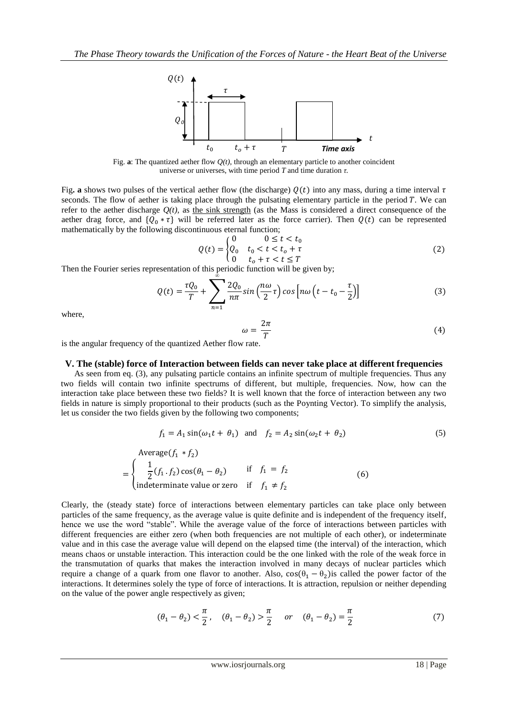

Fig. **a**: The quantized aether flow *Q(t),* through an elementary particle to another coincident universe or universes, with time period *T* and time duration *τ.*

Fig. **a** shows two pulses of the vertical aether flow (the discharge)  $Q(t)$  into any mass, during a time interval  $\tau$ seconds. The flow of aether is taking place through the pulsating elementary particle in the period *T*. We can refer to the aether discharge  $Q(t)$ , as the sink strength (as the Mass is considered a direct consequence of the aether drag force, and  $\{Q_0 * \tau\}$  will be referred later as the force carrier). Then  $Q(t)$  can be represented mathematically by the following discontinuous eternal function;

$$
Q(t) = \begin{cases} 0 & 0 \le t < t_0 \\ Q_0 & t_0 < t < t_0 + \tau \\ 0 & t_0 + \tau < t \le T \end{cases}
$$
 (2)

Then the Fourier series representation of this periodic function will be given by;

$$
Q(t) = \frac{\tau Q_0}{T} + \sum_{n=1}^{\infty} \frac{2Q_0}{n\pi} \sin\left(\frac{n\omega}{2}\tau\right) \cos\left[n\omega\left(t - t_0 - \frac{\tau}{2}\right)\right]
$$
(3)

where,

$$
\omega = \frac{2\pi}{T} \tag{4}
$$

is the angular frequency of the quantized Aether flow rate.

#### **V. The (stable) force of Interaction between fields can never take place at different frequencies**

 As seen from eq. (3), any pulsating particle contains an infinite spectrum of multiple frequencies. Thus any two fields will contain two infinite spectrums of different, but multiple, frequencies. Now, how can the interaction take place between these two fields? It is well known that the force of interaction between any two fields in nature is simply proportional to their products (such as the Poynting Vector). To simplify the analysis, let us consider the two fields given by the following two components;

$$
f_1 = A_1 \sin(\omega_1 t + \theta_1) \quad \text{and} \quad f_2 = A_2 \sin(\omega_2 t + \theta_2) \tag{5}
$$

Average(
$$
f_1 * f_2
$$
)  
\n=
$$
\begin{cases}\n\frac{1}{2}(f_1 \cdot f_2) \cos(\theta_1 - \theta_2) & \text{if } f_1 = f_2 \\
\text{indeterminate value or zero} & \text{if } f_1 \neq f_2\n\end{cases}
$$
\n(6)

Clearly, the (steady state) force of interactions between elementary particles can take place only between particles of the same frequency, as the average value is quite definite and is independent of the frequency itself, hence we use the word "stable". While the average value of the force of interactions between particles with different frequencies are either zero (when both frequencies are not multiple of each other), or indeterminate value and in this case the average value will depend on the elapsed time (the interval) of the interaction, which means chaos or unstable interaction. This interaction could be the one linked with the role of the weak force in the transmutation of quarks that makes the interaction involved in many decays of nuclear particles which require a change of a quark from one flavor to another. Also,  $cos(\theta_1 - \theta_2)$  is called the power factor of the interactions. It determines solely the type of force of interactions. It is attraction, repulsion or neither depending on the value of the power angle respectively as given;

$$
(\theta_1 - \theta_2) < \frac{\pi}{2}
$$
,  $(\theta_1 - \theta_2) > \frac{\pi}{2}$  or  $(\theta_1 - \theta_2) = \frac{\pi}{2}$  (7)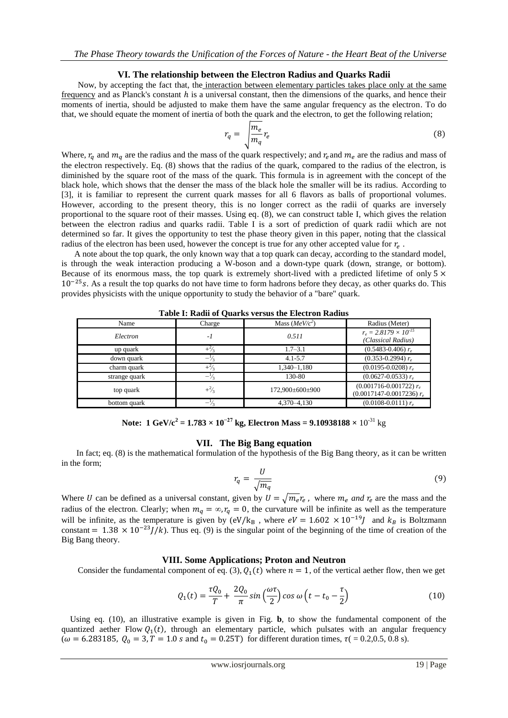## **VI. The relationship between the Electron Radius and Quarks Radii**

 Now, by accepting the fact that, the interaction between elementary particles takes place only at the same frequency and as Planck's constant  $h$  is a universal constant, then the dimensions of the quarks, and hence their moments of inertia, should be adjusted to make them have the same angular frequency as the electron. To do that, we should equate the moment of inertia of both the quark and the electron, to get the following relation;

$$
r_q = \sqrt{\frac{m_e}{m_q}} r_e \tag{8}
$$

Where,  $r_q$  and  $m_q$  are the radius and the mass of the quark respectively; and  $r_e$  and  $m_e$  are the radius and mass of the electron respectively. Eq. (8) shows that the radius of the quark, compared to the radius of the electron, is diminished by the square root of the mass of the quark. This formula is in agreement with the concept of the black hole, which shows that the denser the mass of the black hole the smaller will be its radius. According to [3], it is familiar to represent the current quark masses for all 6 flavors as balls of proportional volumes. However, according to the present theory, this is no longer correct as the radii of quarks are inversely proportional to the square root of their masses. Using eq. (8), we can construct table I, which gives the relation between the electron radius and quarks radii. Table I is a sort of prediction of quark radii which are not determined so far. It gives the opportunity to test the phase theory given in this paper, noting that the classical radius of the electron has been used, however the concept is true for any other accepted value for  $r_e$ .

 A note about the top quark, the only known way that a top quark can decay, according to the standard model, is through the weak interaction producing a W-boson and a down-type quark (down, strange, or bottom). Because of its enormous mass, the top quark is extremely short-lived with a predicted lifetime of only  $5 \times$  $10^{-25}$  s. As a result the top quarks do not have time to form hadrons before they decay, as other quarks do. This provides physicists with the unique opportunity to study the behavior of a "bare" quark.

| Table 1. Kauli of Quarks versus the Electron Kaulus |                |                  |                                                              |
|-----------------------------------------------------|----------------|------------------|--------------------------------------------------------------|
| Name                                                | Charge         | Mass $(MeV/c^2)$ | Radius (Meter)                                               |
| Electron                                            | $-I$           | 0.511            | $r_e = 2.8179 \times 10^{-15}$<br>(Classical Radius)         |
| up quark                                            | $+\frac{2}{3}$ | $1.7 - 3.1$      | $(0.5483 - 0.406) r_e$                                       |
| down quark                                          | $-\frac{1}{3}$ | $4.1 - 5.7$      | $(0.353 - 0.2994) r_e$                                       |
| charm quark                                         | $+\frac{2}{3}$ | $1,340 - 1,180$  | $(0.0195 - 0.0208) r_e$                                      |
| strange quark                                       | $-\frac{1}{3}$ | 130-80           | $(0.0627 - 0.0533) r_e$                                      |
| top quark                                           | $+\frac{2}{3}$ | 172,900±600±900  | $(0.001716 - 0.001722) r_e$<br>$(0.0017147 - 0.0017236) r_e$ |
| bottom quark                                        | —              | 4.370-4.130      | $(0.0108 - 0.0111) r_e$                                      |

**Table I: Radii of Quarks versus the Electron Radius**

**Note:**  $1 \text{ GeV}/c^2 = 1.783 \times 10^{-27} \text{ kg}$ , Electron Mass =  $9.10938188 \times 10^{-31} \text{ kg}$ 

# **VII. The Big Bang equation**

In fact; eq. (8) is the mathematical formulation of the hypothesis of the Big Bang theory, as it can be written in the form;

$$
r_q = \frac{U}{\sqrt{m_q}}\tag{9}
$$

Where U can be defined as a universal constant, given by  $U = \sqrt{m_e r_e}$ , where  $m_e$  and  $r_e$  are the mass and the radius of the electron. Clearly; when  $m_a = \infty$ ,  $r_a = 0$ , the curvature will be infinite as well as the temperature will be infinite, as the temperature is given by  $(eV/k_B)$ , where  $eV = 1.602 \times 10^{-19} J$  and  $k_B$  is Boltzmann constant =  $1.38 \times 10^{-23}$   $\bar{J}/k$ ). Thus eq. (9) is the singular point of the beginning of the time of creation of the Big Bang theory.

## **VIII. Some Applications; Proton and Neutron**

Consider the fundamental component of eq. (3),  $Q_1(t)$  where  $n = 1$ , of the vertical aether flow, then we get

$$
Q_1(t) = \frac{\tau Q_0}{T} + \frac{2Q_0}{\pi} \sin\left(\frac{\omega \tau}{2}\right) \cos \omega \left(t - t_0 - \frac{\tau}{2}\right)
$$
 (10)

 Using eq. (10), an illustrative example is given in Fig. **b**, to show the fundamental component of the quantized aether Flow  $Q_1(t)$ , through an elementary particle, which pulsates with an angular frequency ( $\omega$  = 6.283185,  $Q_0$  = 3, T = 1.0 s and t<sub>0</sub> = 0.25T) for different duration times,  $\tau$  ( = 0.2,0.5, 0.8 s).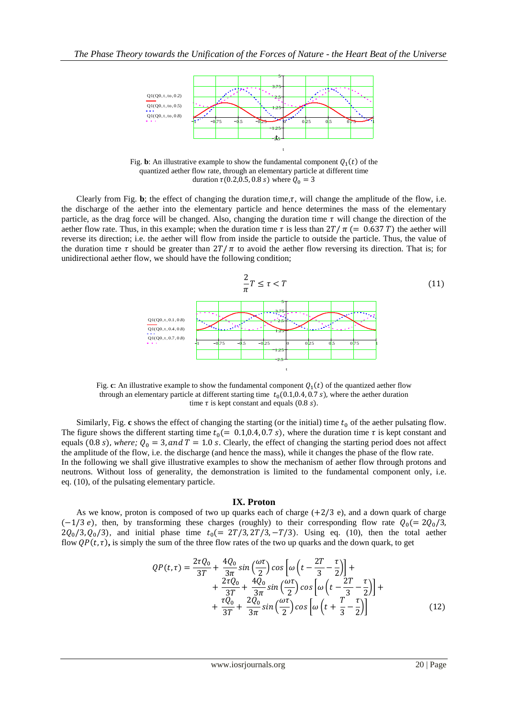

t

Fig. b: An illustrative example to show the fundamental component  $Q_1(t)$  of the quantized aether flow rate*,* through an elementary particle at different time duration  $\tau(0.2, 0.5, 0.8 \text{ s})$  where  $Q_0 = 3$ 

Clearly from Fig. **b**; the effect of changing the duration time,  $\tau$ , will change the amplitude of the flow, i.e. the discharge of the aether into the elementary particle and hence determines the mass of the elementary particle, as the drag force will be changed. Also, changing the duration time  $\tau$  will change the direction of the aether flow rate. Thus, in this example; when the duration time  $\tau$  is less than  $2T/\pi$  (= 0.637 T) the aether will reverse its direction; i.e. the aether will flow from inside the particle to outside the particle. Thus, the value of the duration time  $\tau$  should be greater than  $2T/\pi$  to avoid the aether flow reversing its direction. That is; for unidirectional aether flow, we should have the following condition;



Fig. c: An illustrative example to show the fundamental component  $Q_1(t)$  of the quantized aether flow through an elementary particle at different starting time  $t_0(0.1, 0.4, 0.7 \text{ s})$ , where the aether duration time  $\tau$  is kept constant and equals (0.8 s).

Similarly, Fig.  $\bf{c}$  shows the effect of changing the starting (or the initial) time  $t_0$  of the aether pulsating flow. The figure shows the different starting time  $t_0$  (= 0.1,0.4, 0.7 s), where the duration time  $\tau$  is kept constant and equals (0.8 s), where;  $Q_0 = 3$ , and  $T = 1.0$  s. Clearly, the effect of changing the starting period does not affect the amplitude of the flow, i.e. the discharge (and hence the mass), while it changes the phase of the flow rate. In the following we shall give illustrative examples to show the mechanism of aether flow through protons and neutrons. Without loss of generality, the demonstration is limited to the fundamental component only, i.e. eq. (10), of the pulsating elementary particle.

#### **IX. Proton**

As we know, proton is composed of two up quarks each of charge  $(+2/3 e)$ , and a down quark of charge  $(-1/3 e)$ , then, by transforming these charges (roughly) to their corresponding flow rate  $Q_0 = 2Q_0/3$ ,  $2Q_0/3$ ,  $Q_0/3$ ), and initial phase time  $t_0$  (= 2T/3, 2T/3, -T/3). Using eq. (10), then the total aether flow  $QP(t, \tau)$ , is simply the sum of the three flow rates of the two up quarks and the down quark, to get

$$
QP(t,\tau) = \frac{2\tau Q_0}{3T} + \frac{4Q_0}{3\pi} \sin\left(\frac{\omega\tau}{2}\right) \cos\left[\omega\left(t - \frac{2T}{3} - \frac{\tau}{2}\right)\right] + \\ + \frac{2\tau Q_0}{3T} + \frac{4Q_0}{3\pi} \sin\left(\frac{\omega\tau}{2}\right) \cos\left[\omega\left(t - \frac{2T}{3} - \frac{\tau}{2}\right)\right] + \\ + \frac{\tau Q_0}{3T} + \frac{2Q_0}{3\pi} \sin\left(\frac{\omega\tau}{2}\right) \cos\left[\omega\left(t + \frac{T}{3} - \frac{\tau}{2}\right)\right] \tag{12}
$$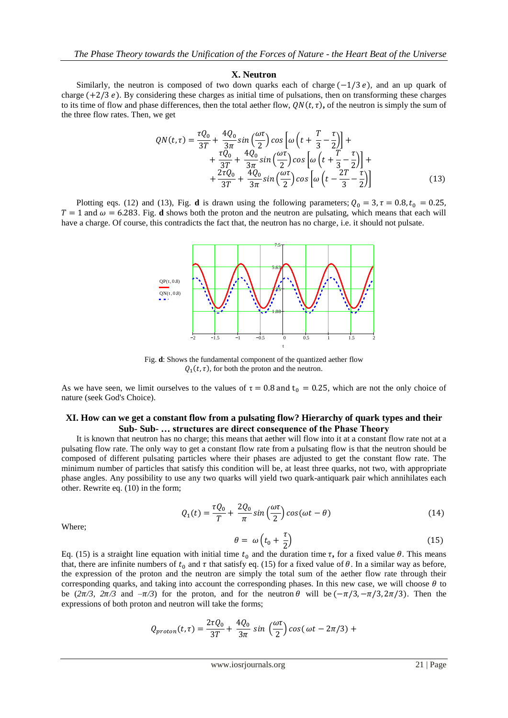#### **X. Neutron**

Similarly, the neutron is composed of two down quarks each of charge  $(-1/3 e)$ , and an up quark of charge  $(+2/3 e)$ . By considering these charges as initial time of pulsations, then on transforming these charges to its time of flow and phase differences, then the total aether flow,  $\mathcal{Q}N(t,\tau)$ , of the neutron is simply the sum of the three flow rates. Then, we get

$$
QN(t,\tau) = \frac{\tau Q_0}{3T} + \frac{4Q_0}{3\pi} \sin\left(\frac{\omega\tau}{2}\right) \cos\left[\omega\left(t + \frac{T}{3} - \frac{\tau}{2}\right)\right] + \\ + \frac{\tau Q_0}{3T} + \frac{4Q_0}{3\pi} \sin\left(\frac{\omega\tau}{2}\right) \cos\left[\omega\left(t + \frac{T}{3} - \frac{\tau}{2}\right)\right] + \\ + \frac{2\tau Q_0}{3T} + \frac{4Q_0}{3\pi} \sin\left(\frac{\omega\tau}{2}\right) \cos\left[\omega\left(t - \frac{2T}{3} - \frac{\tau}{2}\right)\right] \tag{13}
$$

Plotting eqs. (12) and (13), Fig. **d** is drawn using the following parameters;  $Q_0 = 3$ ,  $\tau = 0.8$ ,  $t_0 = 0.25$ ,  $T = 1$  and  $\omega = 6.283$ . Fig. **d** shows both the proton and the neutron are pulsating, which means that each will have a charge. Of course, this contradicts the fact that, the neutron has no charge, i.e. it should not pulsate.



Fig. **d**: Shows the fundamental component of the quantized aether flow  $Q_1(t, \tau)$ , for both the proton and the neutron.

As we have seen, we limit ourselves to the values of  $\tau = 0.8$  and  $t_0 = 0.25$ , which are not the only choice of nature (seek God's Choice).

#### **XI. How can we get a constant flow from a pulsating flow? Hierarchy of quark types and their Sub- Sub- … structures are direct consequence of the Phase Theory**

 It is known that neutron has no charge; this means that aether will flow into it at a constant flow rate not at a pulsating flow rate. The only way to get a constant flow rate from a pulsating flow is that the neutron should be composed of different pulsating particles where their phases are adjusted to get the constant flow rate. The minimum number of particles that satisfy this condition will be, at least three quarks, not two, with appropriate phase angles. Any possibility to use any two quarks will yield two quark-antiquark pair which annihilates each other. Rewrite eq. (10) in the form;

$$
Q_1(t) = \frac{\tau Q_0}{T} + \frac{2Q_0}{\pi} \sin\left(\frac{\omega \tau}{2}\right) \cos(\omega t - \theta)
$$
 (14)

Where;

$$
\theta = \omega \left( t_0 + \frac{\tau}{2} \right) \tag{15}
$$

Eq. (15) is a straight line equation with initial time  $t_0$  and the duration time  $\tau$ , for a fixed value  $\theta$ . This means that, there are infinite numbers of  $t_0$  and  $\tau$  that satisfy eq. (15) for a fixed value of  $\theta$ . In a similar way as before, the expression of the proton and the neutron are simply the total sum of the aether flow rate through their corresponding quarks, and taking into account the corresponding phases. In this new case, we will choose  $\theta$  to be  $(2\pi/3, 2\pi/3 \text{ and } -\pi/3)$  for the proton, and for the neutron  $\theta$  will be  $(-\pi/3, -\pi/3, 2\pi/3)$ . Then the expressions of both proton and neutron will take the forms;

$$
Q_{proton}(t,\tau) = \frac{2\tau Q_0}{3T} + \frac{4Q_0}{3\pi} \sin\left(\frac{\omega\tau}{2}\right) \cos(\omega t - 2\pi/3) +
$$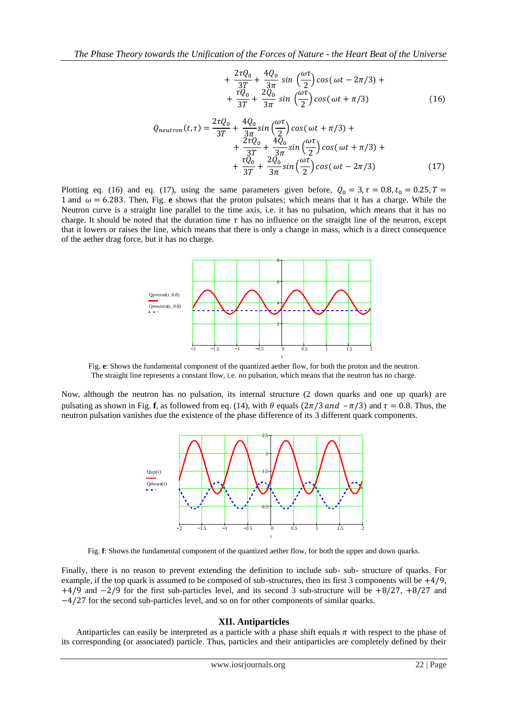$$
+\frac{2\tau Q_0}{3T} + \frac{4Q_0}{3\pi} \sin\left(\frac{\omega\tau}{2}\right) \cos(\omega t - 2\pi/3) + +\frac{\tau Q_0}{3T} + \frac{2Q_0}{3\pi} \sin\left(\frac{\omega\tau}{2}\right) \cos(\omega t + \pi/3)
$$
(16)

$$
Q_{neutron}(t, \tau) = \frac{2\tau Q_0}{3T} + \frac{4Q_0}{3\pi} sin\left(\frac{\omega\tau}{2}\right) cos(\omega t + \pi/3) + + \frac{2\tau Q_0}{3T} + \frac{4Q_0}{3\pi} sin\left(\frac{\omega\tau}{2}\right) cos(\omega t + \pi/3) + + \frac{\tau Q_0}{3T} + \frac{2Q_0}{3\pi} sin\left(\frac{\omega\tau}{2}\right) cos(\omega t - 2\pi/3)
$$
(17)

Plotting eq. (16) and eq. (17), using the same parameters given before,  $Q_0 = 3$ ,  $\tau = 0.8$ ,  $t_0 = 0.25$ ,  $T =$ 1 and  $\omega$  = 6.283. Then, Fig. **e** shows that the proton pulsates; which means that it has a charge. While the Neutron curve is a straight line parallel to the time axis, i.e. it has no pulsation, which means that it has no charge. It should be noted that the duration time  $\tau$  has no influence on the straight line of the neutron, except that it lowers or raises the line, which means that there is only a change in mass, which is a direct consequence of the aether drag force, but it has no charge.



Fig. **e**: Shows the fundamental component of the quantized aether flow, for both the proton and the neutron. The straight line represents a constant flow, i.e. no pulsation, which means that the neutron has no charge.

Now, although the neutron has no pulsation, its internal structure (2 down quarks and one up quark) are pulsating as shown in Fig. **f**, as followed from eq. (14), with  $\theta$  equals ( $2\pi/3$  and  $-\pi/3$ ) and  $\tau = 0.8$ . Thus, the neutron pulsation vanishes due the existence of the phase difference of its 3 different quark components.



Fig. **f**: Shows the fundamental component of the quantized aether flow, for both the upper and down quarks.

Finally, there is no reason to prevent extending the definition to include sub- sub- structure of quarks. For example, if the top quark is assumed to be composed of sub-structures, then its first 3 components will be  $+4/9$ ,  $+4/9$  and  $-2/9$  for the first sub-particles level, and its second 3 sub-structure will be  $+8/27$ ,  $+8/27$  and  $-4/27$  for the second sub-particles level, and so on for other components of similar quarks.

### **XII. Antiparticles**

Antiparticles can easily be interpreted as a particle with a phase shift equals  $\pi$  with respect to the phase of its corresponding (or associated) particle. Thus, particles and their antiparticles are completely defined by their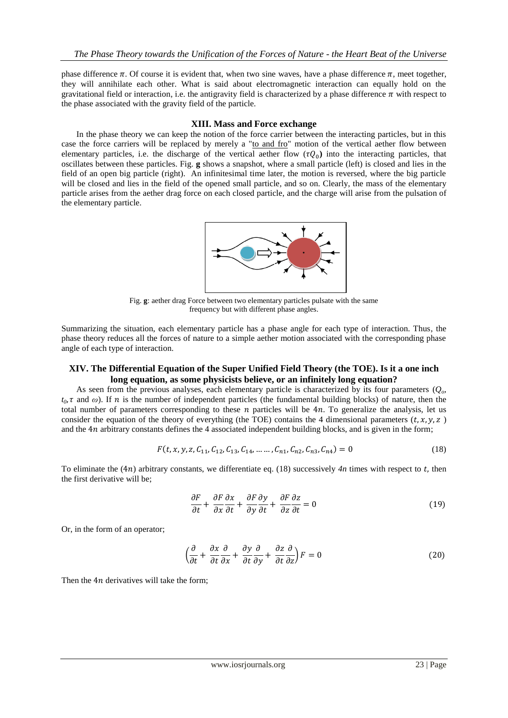phase difference  $\pi$ . Of course it is evident that, when two sine waves, have a phase difference  $\pi$ , meet together, they will annihilate each other. What is said about electromagnetic interaction can equally hold on the gravitational field or interaction, i.e. the antigravity field is characterized by a phase difference  $\pi$  with respect to the phase associated with the gravity field of the particle.

## **XIII. Mass and Force exchange**

 In the phase theory we can keep the notion of the force carrier between the interacting particles, but in this case the force carriers will be replaced by merely a "to and fro" motion of the vertical aether flow between elementary particles, i.e. the discharge of the vertical aether flow  $(\tau Q_0)$  into the interacting particles, that oscillates between these particles. Fig. **g** shows a snapshot, where a small particle (left) is closed and lies in the field of an open big particle (right). An infinitesimal time later, the motion is reversed, where the big particle will be closed and lies in the field of the opened small particle, and so on. Clearly, the mass of the elementary particle arises from the aether drag force on each closed particle, and the charge will arise from the pulsation of the elementary particle.



Fig. **g**: aether drag Force between two elementary particles pulsate with the same frequency but with different phase angles.

Summarizing the situation, each elementary particle has a phase angle for each type of interaction. Thus, the phase theory reduces all the forces of nature to a simple aether motion associated with the corresponding phase angle of each type of interaction.

# **XIV. The Differential Equation of the Super Unified Field Theory (the TOE). Is it a one inch long equation, as some physicists believe, or an infinitely long equation?**

 As seen from the previous analyses, each elementary particle is characterized by its four parameters (*Qo,*   $t_0$ ,  $\tau$  and  $\omega$ ). If  $n$  is the number of independent particles (the fundamental building blocks) of nature, then the total number of parameters corresponding to these n particles will be  $4n$ . To generalize the analysis, let us consider the equation of the theory of everything (the TOE) contains the 4 dimensional parameters  $(t, x, y, z)$ and the 4n arbitrary constants defines the 4 associated independent building blocks, and is given in the form;

$$
F(t, x, y, z, C_{11}, C_{12}, C_{13}, C_{14}, \dots, C_{n1}, C_{n2}, C_{n3}, C_{n4}) = 0
$$
\n(18)

To eliminate the  $(4n)$  arbitrary constants, we differentiate eq. (18) successively  $4n$  times with respect to t, then the first derivative will be;

$$
\frac{\partial F}{\partial t} + \frac{\partial F}{\partial x}\frac{\partial x}{\partial t} + \frac{\partial F}{\partial y}\frac{\partial y}{\partial t} + \frac{\partial F}{\partial z}\frac{\partial z}{\partial t} = 0
$$
\n(19)

Or, in the form of an operator;

$$
\left(\frac{\partial}{\partial t} + \frac{\partial x}{\partial t} \frac{\partial}{\partial x} + \frac{\partial y}{\partial t} \frac{\partial}{\partial y} + \frac{\partial z}{\partial t} \frac{\partial}{\partial z}\right) F = 0
$$
\n(20)

Then the  $4n$  derivatives will take the form;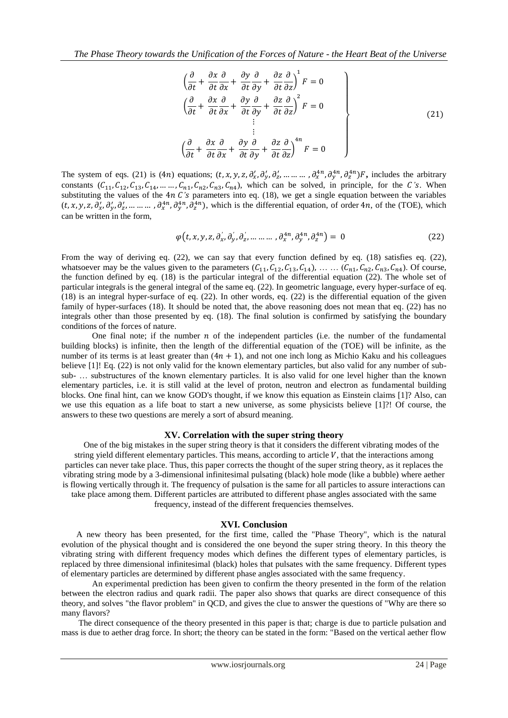$$
\begin{aligned}\n\left(\frac{\partial}{\partial t} + \frac{\partial x}{\partial t} \frac{\partial}{\partial x} + \frac{\partial y}{\partial t} \frac{\partial}{\partial y} + \frac{\partial z}{\partial t} \frac{\partial}{\partial z}\right)^{1} F &= 0 \\
\left(\frac{\partial}{\partial t} + \frac{\partial x}{\partial t} \frac{\partial}{\partial x} + \frac{\partial y}{\partial t} \frac{\partial}{\partial y} + \frac{\partial z}{\partial t} \frac{\partial}{\partial z}\right)^{2} F &= 0 \\
&\vdots \\
\left(\frac{\partial}{\partial t} + \frac{\partial x}{\partial t} \frac{\partial}{\partial x} + \frac{\partial y}{\partial t} \frac{\partial}{\partial y} + \frac{\partial z}{\partial t} \frac{\partial}{\partial z}\right)^{4n} F &= 0\n\end{aligned}
$$
\n(21)

The system of eqs. (21) is (4*n*) equations;  $(t, x, y, z, \partial_x, \partial_y, \partial_z, ..., ..., \partial_x^{(4n)}, \partial_x^{(4n)}, \partial_z^{(4n)})$ F, includes the arbitrary constants  $(C_{11}, C_{12}, C_{13}, C_{14}, \ldots, C_{n1}, C_{n2}, C_{n3}, C_{n4})$ , which can be solved, in principle, for the C's. When substituting the values of the  $4n C$ 's parameters into eq. (18), we get a single equation between the variables  $(t, x, y, z, \partial'_x, \partial'_y, \partial'_z, \dots, \dots, \partial^{4n}_x, \partial^{4n}_y, \partial^{4n}_z)$ , which is the differential equation, of order 4*n*, of the (TOE), which can be written in the form,

$$
\varphi(t, x, y, z, \partial_x, \partial_y, \partial_z, \dots \dots \dots, \partial_x^{4n}, \partial_y^{4n}, \partial_z^{4n}) = 0 \tag{22}
$$

From the way of deriving eq. (22), we can say that every function defined by eq. (18) satisfies eq. (22), whatsoever may be the values given to the parameters  $(C_{11}, C_{12}, C_{13}, C_{14})$ , ...  $(C_{n1}, C_{n2}, C_{n3}, C_{n4})$ . Of course, the function defined by eq. (18) is the particular integral of the differential equation (22). The whole set of particular integrals is the general integral of the same eq. (22). In geometric language, every hyper-surface of eq. (18) is an integral hyper-surface of eq. (22). In other words, eq. (22) is the differential equation of the given family of hyper-surfaces (18). It should be noted that, the above reasoning does not mean that eq. (22) has no integrals other than those presented by eq. (18). The final solution is confirmed by satisfying the boundary conditions of the forces of nature.

One final note; if the number  $n$  of the independent particles (i.e. the number of the fundamental building blocks) is infinite, then the length of the differential equation of the (TOE) will be infinite, as the number of its terms is at least greater than  $(4n + 1)$ , and not one inch long as Michio Kaku and his colleagues believe [1]! Eq. (22) is not only valid for the known elementary particles, but also valid for any number of subsub- … substructures of the known elementary particles. It is also valid for one level higher than the known elementary particles, i.e. it is still valid at the level of proton, neutron and electron as fundamental building blocks. One final hint, can we know GOD's thought, if we know this equation as Einstein claims [1]? Also, can we use this equation as a life boat to start a new universe, as some physicists believe [1]?! Of course, the answers to these two questions are merely a sort of absurd meaning.

## **XV. Correlation with the super string theory**

 One of the big mistakes in the super string theory is that it considers the different vibrating modes of the string yield different elementary particles. This means, according to article  $V$ , that the interactions among particles can never take place. Thus, this paper corrects the thought of the super string theory, as it replaces the vibrating string mode by a 3-dimensional infinitesimal pulsating (black) hole mode (like a bubble) where aether is flowing vertically through it. The frequency of pulsation is the same for all particles to assure interactions can take place among them. Different particles are attributed to different phase angles associated with the same frequency, instead of the different frequencies themselves.

#### **XVI. Conclusion**

 A new theory has been presented, for the first time, called the "Phase Theory", which is the natural evolution of the physical thought and is considered the one beyond the super string theory. In this theory the vibrating string with different frequency modes which defines the different types of elementary particles, is replaced by three dimensional infinitesimal (black) holes that pulsates with the same frequency. Different types of elementary particles are determined by different phase angles associated with the same frequency.

An experimental prediction has been given to confirm the theory presented in the form of the relation between the electron radius and quark radii. The paper also shows that quarks are direct consequence of this theory, and solves "the flavor problem" in QCD, and gives the clue to answer the questions of "Why are there so many flavors?

 The direct consequence of the theory presented in this paper is that; charge is due to particle pulsation and mass is due to aether drag force. In short; the theory can be stated in the form: "Based on the vertical aether flow